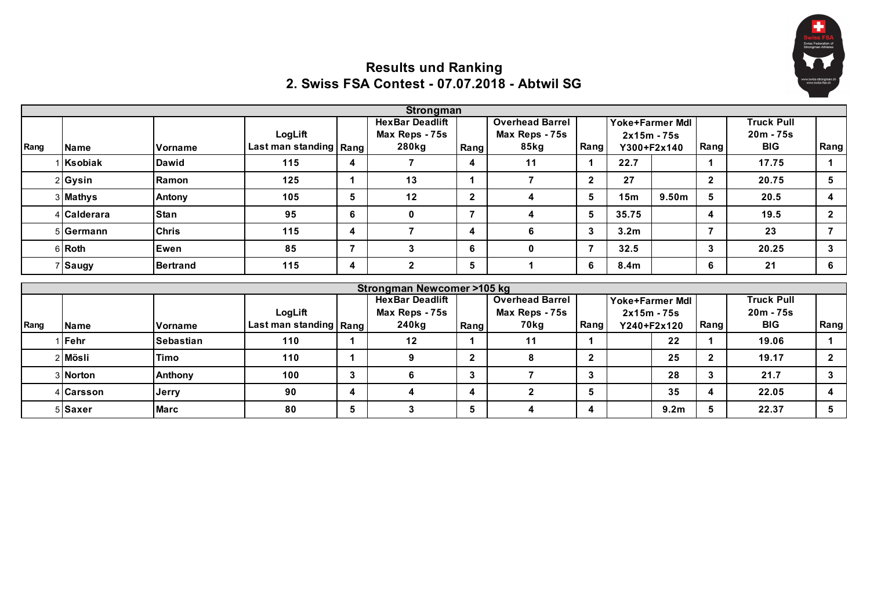

## **Results und Ranking 2. Swiss FSA Contest - 07.07.2018 - Abtwil SG**

|      |                  |                  |                          |                | <b>Strongman</b>           |              |                        |                |                                      |                |                         |                   |                |
|------|------------------|------------------|--------------------------|----------------|----------------------------|--------------|------------------------|----------------|--------------------------------------|----------------|-------------------------|-------------------|----------------|
|      |                  |                  |                          |                | <b>HexBar Deadlift</b>     |              | <b>Overhead Barrel</b> |                | Yoke+Farmer Mdl                      |                |                         | <b>Truck Pull</b> |                |
|      |                  |                  | LogLift                  |                | Max Reps - 75s             |              | Max Reps - 75s         |                | $2x15m - 75s$                        |                |                         | $20m - 75s$       |                |
| Rang | <b>Name</b>      | Vorname          | Last man standing   Rang |                | 280kg                      | Rang         | 85kg                   | Rang           | Y300+F2x140                          |                | Rang                    | <b>BIG</b>        | Rang           |
|      | Ksobiak          | Dawid            | 115                      | 4              | $\overline{7}$             | 4            | 11                     |                | 22.7                                 |                |                         | 17.75             | 1              |
|      | 2 Gysin          | Ramon            | 125                      | $\mathbf 1$    | 13                         |              | $\overline{7}$         | $\overline{2}$ | 27                                   |                | $\mathbf{2}$            | 20.75             | 5              |
|      | 3 Mathys         | Antony           | 105                      | 5              | 12                         | $\mathbf{2}$ | 4                      | 5              | 9.50 <sub>m</sub><br>15 <sub>m</sub> |                | 5                       | 20.5              | 4              |
|      | <b>Calderara</b> | <b>Stan</b>      | 95                       | 6              | $\mathbf{0}$               |              | 4                      | 5              | 35.75                                |                | 4                       | 19.5              | $\mathbf{2}$   |
|      | 5 Germann        | <b>Chris</b>     | 115                      | 4              | $\overline{7}$             | 4            | 6                      | 3              | 3.2 <sub>m</sub>                     | $\overline{7}$ |                         | 23                | $\overline{7}$ |
|      | 6 Roth           | Ewen             | 85                       | $\overline{7}$ | 3                          | 6            | 0                      | $\overline{7}$ | 32.5                                 |                | 3                       | 20.25             | 3              |
|      | Saugy            | <b>Bertrand</b>  | 115                      | 4              | $\mathbf{2}$               | 5            |                        | 6              | 8.4 <sub>m</sub>                     |                | 6                       | 21                | 6              |
|      |                  |                  |                          |                | Strongman Newcomer >105 kg |              |                        |                |                                      |                |                         |                   |                |
|      |                  |                  |                          |                | <b>HexBar Deadlift</b>     |              | <b>Overhead Barrel</b> |                | Yoke+Farmer Mdl                      |                |                         | <b>Truck Pull</b> |                |
|      |                  |                  | LogLift                  |                | Max Reps - 75s             |              | Max Reps - 75s         |                | $2x15m - 75s$                        |                |                         | $20m - 75s$       |                |
| Rang | <b>Name</b>      | Vorname          | Last man standing   Rang |                | 240kg                      | Rang         | 70kg                   | Rang           | Y240+F2x120                          |                | Rang                    | <b>BIG</b>        | Rang           |
|      | Fehr             | <b>Sebastian</b> | 110                      | 1              | 12                         |              | 11                     |                | 22                                   |                |                         | 19.06             | 1              |
|      | 2 Mösli          | Timo             | 110                      | $\mathbf 1$    | 9                          | $\mathbf{2}$ | 8                      | $\overline{2}$ | 25                                   |                | $\overline{2}$          | 19.17             | $\mathbf{2}$   |
|      | 3 Norton         | Anthony          | 100                      | 3              | 6                          | $\mathbf{3}$ | $\overline{7}$         | $\mathbf{3}$   | 28                                   |                | $\mathbf{3}$            | 21.7              | 3              |
|      | 4 Carsson        | Jerry            | 90                       | 4              | 4                          | 4            | $\mathbf{2}$           | 5              | 35                                   |                | $\overline{\mathbf{4}}$ | 22.05             | 4              |
|      | 5 Saxer          | <b>Marc</b>      | 80                       | 5              | 3                          | 5            | 4                      | 4              | 9.2 <sub>m</sub>                     |                | 5                       | 22.37             | 5              |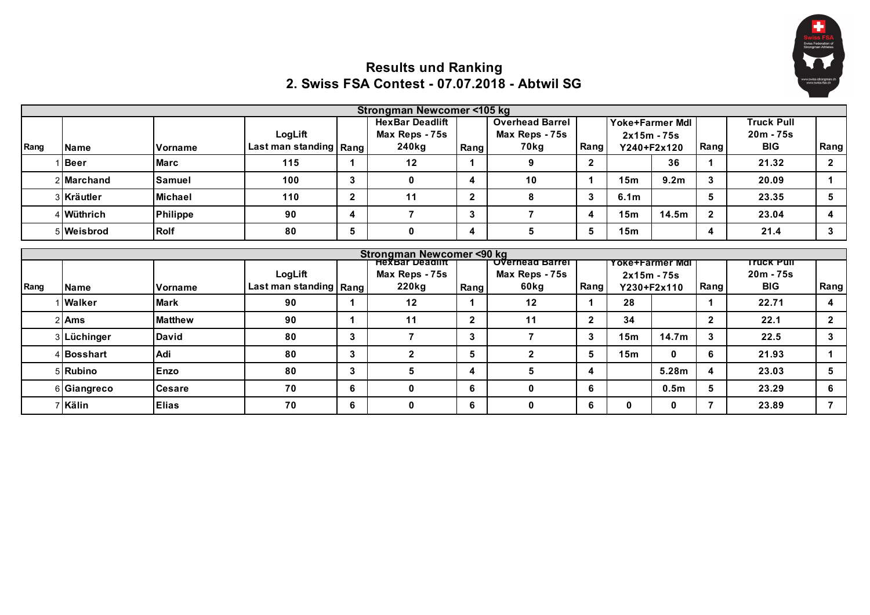

## **Results und Ranking 2. Swiss FSA Contest - 07.07.2018 - Abtwil SG**

|      |             |                |                           |              | Strongman Newcomer <105 kg |                                               |                        |              |                  |                        |                         |                   |                      |
|------|-------------|----------------|---------------------------|--------------|----------------------------|-----------------------------------------------|------------------------|--------------|------------------|------------------------|-------------------------|-------------------|----------------------|
|      |             |                |                           |              | <b>HexBar Deadlift</b>     |                                               | <b>Overhead Barrel</b> |              |                  | <b>Yoke+Farmer Mdl</b> |                         | <b>Truck Pull</b> |                      |
|      |             |                | LogLift                   |              | Max Reps - 75s             |                                               | Max Reps - 75s         |              |                  | $2x15m - 75s$          |                         | $20m - 75s$       |                      |
| Rang | <b>Name</b> | Vorname        | Last man standing   Rang  |              | 240kg                      | Rang                                          | 70kg                   | Rang         |                  | Y240+F2x120            | Rang                    | <b>BIG</b>        | Rang                 |
|      | <b>Beer</b> | <b>Marc</b>    | 115                       | 1            | 12                         |                                               | 9                      | $\mathbf{2}$ |                  | 36                     |                         | 21.32             | $\mathbf{2}$         |
|      | 2 Marchand  | Samuel         | 100 <sub>1</sub>          | 3            | $\mathbf{0}$               | 4                                             | 10                     |              | 15m              | 9.2 <sub>m</sub>       | $\overline{3}$          | 20.09             |                      |
|      | 3 Kräutler  | <b>Michael</b> | 110                       | $\mathbf{2}$ | 11                         | $\mathbf{2}$                                  | 8                      | 3            | 6.1 <sub>m</sub> |                        | 5                       | 23.35             | 5                    |
|      | Wüthrich    | Philippe       | 90                        | 4            | $\overline{7}$             | 3                                             | 7                      | 4            | 15m              | 14.5m                  | $\overline{2}$          | 23.04             | 4                    |
|      | 5 Weisbrod  | <b>Rolf</b>    | 80                        | 5            | $\mathbf 0$                | 4                                             | 5                      | 5            | 15m              |                        | $\overline{\mathbf{4}}$ | 21.4              | 3                    |
|      |             |                |                           |              | Strongman Newcomer <90 kg  |                                               |                        |              |                  |                        |                         |                   |                      |
|      |             |                | <del>πexвar Deagliπ</del> |              |                            | <del>Overnead Barrel</del><br>Yoke+Farmer Mdl |                        |              |                  |                        |                         |                   |                      |
|      |             |                |                           |              |                            |                                               |                        |              |                  |                        |                         | <u>Truck Pull</u> |                      |
|      |             |                | LogLift                   |              | Max Reps - 75s             |                                               | Max Reps - 75s         |              |                  | $2x15m - 75s$          |                         | $20m - 75s$       |                      |
| Rang | <b>Name</b> | Vorname        | Last man standing   Rang  |              | 220kg                      | Rang                                          | 60kg                   | Rang         |                  | Y230+F2x110            | Rang                    | <b>BIG</b>        |                      |
|      | Walker      | <b>Mark</b>    | 90                        | 1            | 12                         |                                               | 12                     |              | 28               |                        | 1                       | 22.71             | 4                    |
|      | 2 Ams       | <b>Matthew</b> | 90                        | 1            | 11                         | $\mathbf{2}$                                  | 11                     | $\mathbf{2}$ | 34               |                        | $\overline{2}$          | 22.1              | Rang<br>$\mathbf{2}$ |
|      | 3 Lüchinger | <b>David</b>   | 80                        | 3            | $\overline{7}$             | 3                                             | $\overline{7}$         | 3            | 15m              | 14.7 <sub>m</sub>      | 3                       | 22.5              | 3                    |
|      | 4 Bosshart  | Adi            | 80                        | 3            | $\overline{2}$             | 5                                             | $\overline{2}$         | 5            | 15m              | $\mathbf{0}$           | 6                       | 21.93             |                      |
|      | 5 Rubino    | Enzo           | 80                        | $\mathbf{3}$ | 5                          | 4                                             | 5                      | 4            |                  | 5.28m                  | $\overline{\mathbf{4}}$ | 23.03             | 5                    |
|      | 6 Giangreco | <b>Cesare</b>  | 70                        | 6            | 0                          | 6                                             | $\mathbf 0$            | 6            |                  | 0.5 <sub>m</sub>       | 5                       | 23.29             | 6                    |